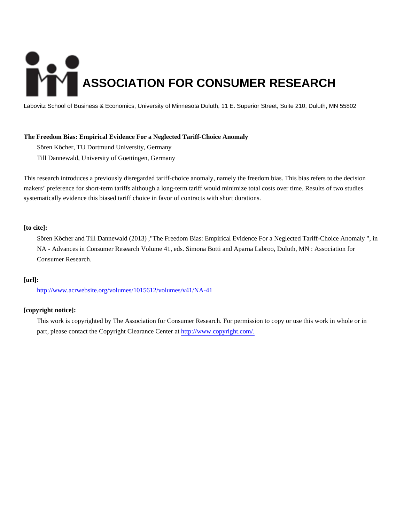# **ASSOCIATION FOR CONSUMER RESEARCH**

Labovitz School of Business & Economics, University of Minnesota Duluth, 11 E. Superior Street, Suite 210, Duluth, MN 55802

## **The Freedom Bias: Empirical Evidence For a Neglected Tariff-Choice Anomaly**

Sören Köcher, TU Dortmund University, Germany Till Dannewald, University of Goettingen, Germany

This research introduces a previously disregarded tariff-choice anomaly, namely the freedom bias. This bias refers to the decision makers' preference for short-term tariffs although a long-term tariff would minimize total costs over time. Results of two studies systematically evidence this biased tariff choice in favor of contracts with short durations.

#### **[to cite]:**

Sören Köcher and Till Dannewald (2013) ,"The Freedom Bias: Empirical Evidence For a Neglected Tariff-Choice Anomaly ", in NA - Advances in Consumer Research Volume 41, eds. Simona Botti and Aparna Labroo, Duluth, MN : Association for Consumer Research.

#### **[url]:**

<http://www.acrwebsite.org/volumes/1015612/volumes/v41/NA-41>

### **[copyright notice]:**

This work is copyrighted by The Association for Consumer Research. For permission to copy or use this work in whole or in part, please contact the Copyright Clearance Center at [http://www.copyright.com/.](http://www.copyright.com/)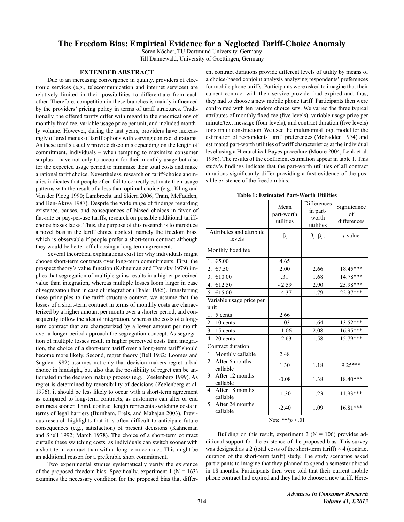# The Freedom Bias: Empirical Evidence for a Neglected Tariff-Choice Anomaly

Sören Köcher, TU Dortmund University, Germany Till Dannewald, University of Goettingen, Germany

#### **EXTENDED ABSTRACT**

Due to an increasing convergence in quality, providers of electronic services (e.g., telecommunication and internet services) are relatively limited in their possibilities to differentiate from each other. Therefore, competition in these branches is mainly influenced by the providers' pricing policy in terms of tariff structures. Traditionally, the offered tariffs differ with regard to the specifications of monthly fixed fee, variable usage price per unit, and included monthly volume. However, during the last years, providers have increasingly offered menus of tariff options with varying contract durations. As these tariffs usually provide discounts depending on the length of commitment, individuals – when tempting to maximize consumer surplus – have not only to account for their monthly usage but also for the expected usage period to minimize their total costs and make a rational tariff choice. Nevertheless, research on tariff-choice anomalies indicates that people often fail to correctly estimate their usage patterns with the result of a less than optimal choice (e.g., Kling and Van der Ploeg 1990; Lambrecht and Skiera 2006; Train, McFadden, and Ben-Akiva 1987). Despite the wide range of findings regarding existence, causes, and consequences of biased choices in favor of flat-rate or pay-per-use tariffs, research on possible additional tariffchoice biases lacks. Thus, the purpose of this research is to introduce a novel bias in the tariff choice context, namely the freedom bias, which is observable if people prefer a short-term contract although they would be better off choosing a long-term agreement.

Several theoretical explanations exist for why individuals might choose short-term contracts over long-term commitments. First, the prospect theory's value function (Kahneman and Tversky 1979) implies that segregation of multiple gains results in a higher perceived value than integration, whereas multiple losses loom larger in case of segregation than in case of integration (Thaler 1985). Transferring these principles to the tariff structure context, we assume that the losses of a short-term contract in terms of monthly costs are characterized by a higher amount per month over a shorter period, and consequently follow the idea of integration, whereas the costs of a longterm contract that are characterized by a lower amount per month over a longer period approach the segregation concept. As segregation of multiple losses result in higher perceived costs than integration, the choice of a short-term tariff over a long-term tariff should become more likely. Second, regret theory (Bell 1982; Loomes and Sugden 1982) assumes not only that decision makers regret a bad choice in hindsight, but also that the possibility of regret can be anticipated in the decision making process (e.g., Zeelenberg 1999). As regret is determined by reversibility of decisions (Zeelenberg et al. 1996), it should be less likely to occur with a short-term agreement as compared to long-term contracts, as customers can alter or end contracts sooner. Third, contract length represents switching costs in terms of legal barriers (Burnham, Frels, and Mahajan 2003). Previous research highlights that it is often difficult to anticipate future consequences (e.g., satisfaction) of present decisions (Kahneman and Snell 1992; March 1978). The choice of a short-term contract curtails these switching costs, as individuals can switch sooner with a short-term contract than with a long-term contract. This might be an additional reason for a preferable short commitment.

Two experimental studies systematically verify the existence of the proposed freedom bias. Specifically, experiment 1 ( $N = 163$ ) examines the necessary condition for the proposed bias that different contract durations provide different levels of utility by means of a choice-based conjoint analysis analyzing respondents' preferences for mobile phone tariffs. Participants were asked to imagine that their current contract with their service provider had expired and, thus, they had to choose a new mobile phone tariff. Participants then were confronted with ten random choice sets. We varied the three typical attributes of monthly fixed fee (five levels), variable usage price per minute/text message (four levels), and contract duration (five levels) for stimuli construction. We used the multinomial logit model for the estimation of respondents' tariff preferences (McFadden 1974) and estimated part-worth utilities of tariff characteristics at the individual level using a Hierarchical Bayes procedure (Moore 2004; Lenk et al. 1996). The results of the coefficient estimation appear in table 1. This study's findings indicate that the part-worth utilities of all contract durations significantly differ providing a first evidence of the possible existence of the freedom bias.

**Table 1: Estimated Part-Worth Utilities** 

|                                               | Mean<br>part-worth<br>utilities | <b>Differences</b><br>in part-<br>worth<br>utilities | Significance<br>of<br>differences |
|-----------------------------------------------|---------------------------------|------------------------------------------------------|-----------------------------------|
| Attributes and attribute<br>levels            | $\beta_i$                       | $\beta_i - \beta_{i+1}$                              | $t$ -value                        |
| Monthly fixed fee                             |                                 |                                                      |                                   |
| 1. $€5.00$                                    | 4.65                            |                                                      |                                   |
| 2. €7.50                                      | 2.00                            | 2.66                                                 | 18.45***                          |
| 3. $€10.00$                                   | .31                             | 1.68                                                 | 14.78***                          |
| 4. €12.50                                     | $-2.59$                         | 2.90                                                 | $25.98***$                        |
| 5. $£15.00$                                   | $-4.37$                         | 1.79                                                 | 22.37***                          |
| Variable usage price per<br>unit              |                                 |                                                      |                                   |
| 1. $5$ cents                                  | 2.66                            |                                                      |                                   |
| $2.10$ cents                                  | 1.03                            | 1.64                                                 | 13.52***                          |
| 3. 15 cents                                   | $-1.06$                         | 2.08                                                 | 16,95***                          |
| 4. 20 cents                                   | $-2.63$                         | 1.58                                                 | $15.79***$                        |
| Contract duration                             |                                 |                                                      |                                   |
| 1. Monthly callable                           | 2.48                            |                                                      |                                   |
| 2. After 6 months<br>callable                 | 1.30                            | 1.18                                                 | $9.25***$                         |
| After 12 months<br>3 <sub>1</sub><br>callable | $-0.08$                         | 1.38                                                 | 18.40***                          |
| 4. After 18 months<br>callable                | $-1.30$                         | 1.23                                                 | 11.93***                          |
| After 24 months<br>5 <sub>1</sub><br>callable | $-2.40$                         | 1.09                                                 | 16.81***                          |
| Note: *** $p < .01$                           |                                 |                                                      |                                   |

Building on this result, experiment 2 ( $N = 106$ ) provides additional support for the existence of the proposed bias. This survey was designed as a 2 (total costs of the short-term tariff)  $\times$  4 (contract duration of the short-term tariff) study. The study scenarios asked participants to imagine that they planned to spend a semester abroad in 18 months. Participants then were told that their current mobile phone contract had expired and they had to choose a new tariff. Here